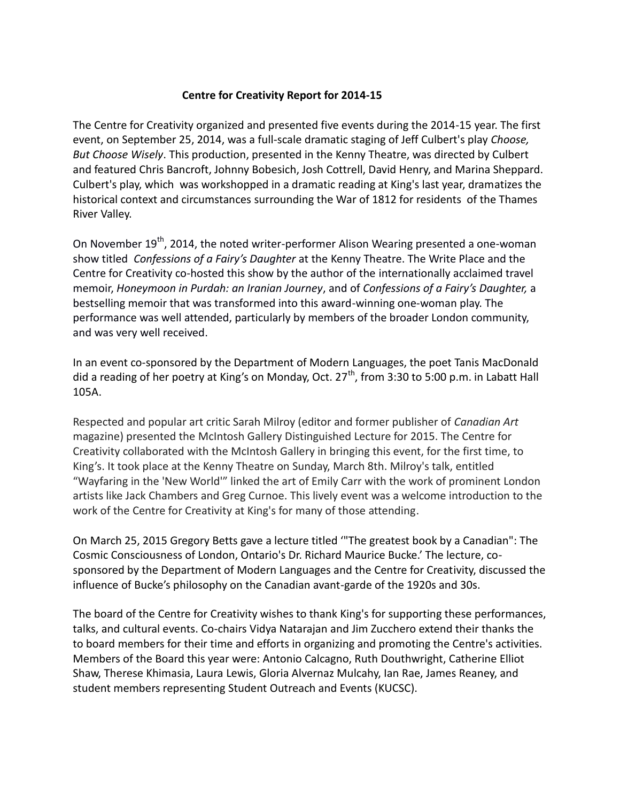## **Centre for Creativity Report for 2014-15**

The Centre for Creativity organized and presented five events during the 2014-15 year. The first event, on September 25, 2014, was a full-scale dramatic staging of Jeff Culbert's play *Choose, But Choose Wisely*. This production, presented in the Kenny Theatre, was directed by Culbert and featured Chris Bancroft, Johnny Bobesich, Josh Cottrell, David Henry, and Marina Sheppard. Culbert's play, which was workshopped in a dramatic reading at King's last year, dramatizes the historical context and circumstances surrounding the War of 1812 for residents of the Thames River Valley.

On November 19<sup>th</sup>, 2014, the noted writer-performer Alison Wearing presented a one-woman show titled *Confessions of a Fairy's Daughter* at the Kenny Theatre. The Write Place and the Centre for Creativity co-hosted this show by the author of the internationally acclaimed travel memoir, *Honeymoon in Purdah: an Iranian Journey*, and of *Confessions of a Fairy's Daughter,* a bestselling memoir that was transformed into this award-winning one-woman play. The performance was well attended, particularly by members of the broader London community, and was very well received.

In an event co-sponsored by the Department of Modern Languages, the poet Tanis MacDonald did a reading of her poetry at King's on Monday, Oct.  $27<sup>th</sup>$ , from 3:30 to 5:00 p.m. in Labatt Hall 105A.

Respected and popular art critic Sarah Milroy (editor and former publisher of *Canadian Art* magazine) presented the McIntosh Gallery Distinguished Lecture for 2015. The Centre for Creativity collaborated with the McIntosh Gallery in bringing this event, for the first time, to King's. It took place at the Kenny Theatre on Sunday, March 8th. Milroy's talk, entitled "Wayfaring in the 'New World'" linked the art of Emily Carr with the work of prominent London artists like Jack Chambers and Greg Curnoe. This lively event was a welcome introduction to the work of the Centre for Creativity at King's for many of those attending.

On March 25, 2015 Gregory Betts gave a lecture titled '"The greatest book by a Canadian": The Cosmic Consciousness of London, Ontario's Dr. Richard Maurice Bucke.' The lecture, cosponsored by the Department of Modern Languages and the Centre for Creativity, discussed the influence of Bucke's philosophy on the Canadian avant-garde of the 1920s and 30s.

The board of the Centre for Creativity wishes to thank King's for supporting these performances, talks, and cultural events. Co-chairs Vidya Natarajan and Jim Zucchero extend their thanks the to board members for their time and efforts in organizing and promoting the Centre's activities. Members of the Board this year were: Antonio Calcagno, Ruth Douthwright, Catherine Elliot Shaw, Therese Khimasia, Laura Lewis, Gloria Alvernaz Mulcahy, Ian Rae, James Reaney, and student members representing Student Outreach and Events (KUCSC).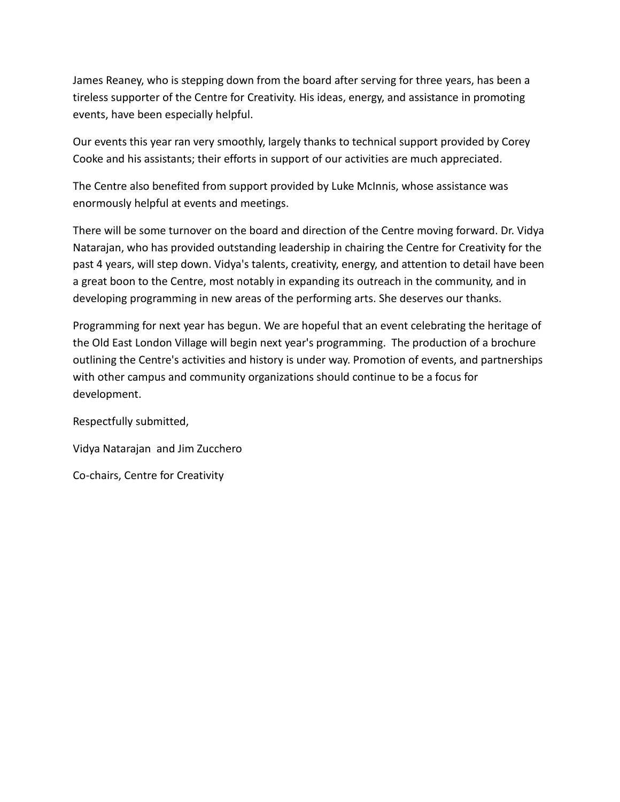James Reaney, who is stepping down from the board after serving for three years, has been a tireless supporter of the Centre for Creativity. His ideas, energy, and assistance in promoting events, have been especially helpful.

Our events this year ran very smoothly, largely thanks to technical support provided by Corey Cooke and his assistants; their efforts in support of our activities are much appreciated.

The Centre also benefited from support provided by Luke McInnis, whose assistance was enormously helpful at events and meetings.

There will be some turnover on the board and direction of the Centre moving forward. Dr. Vidya Natarajan, who has provided outstanding leadership in chairing the Centre for Creativity for the past 4 years, will step down. Vidya's talents, creativity, energy, and attention to detail have been a great boon to the Centre, most notably in expanding its outreach in the community, and in developing programming in new areas of the performing arts. She deserves our thanks.

Programming for next year has begun. We are hopeful that an event celebrating the heritage of the Old East London Village will begin next year's programming. The production of a brochure outlining the Centre's activities and history is under way. Promotion of events, and partnerships with other campus and community organizations should continue to be a focus for development.

Respectfully submitted,

Vidya Natarajan and Jim Zucchero

Co-chairs, Centre for Creativity